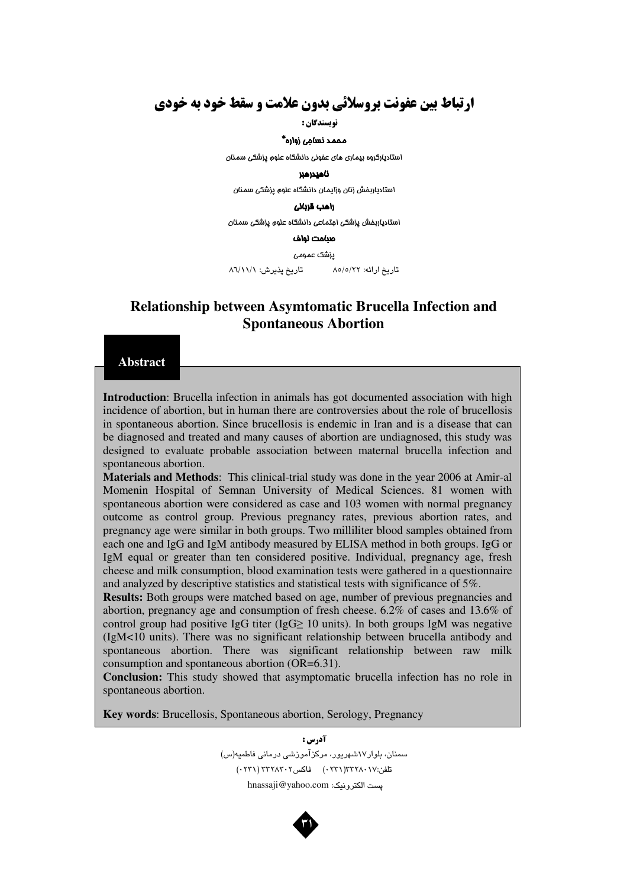# **ارتباط بین عفونت بروسلائی بدون علامت و سقط خود به خودی**

**نویسندگان :** 

### مممد نسامِی زواره\*

استادیارگروه بیماری های عفونی دانشگاه علوم پزشکی سمنان

#### ناھيدرھبر

استادیاربفش زنان وزایمان دانشگاه علوم پزشکی سمنان

#### راهب قربان*ی*

استادیاربفش پزشکی اجتماعی دانشگاه علوم پزشکی سمنان

#### صنامت لواف

يزشک عمومى

تاريخ ارائه: ٨٥/٥/٢٢ تاريخ پذيرش: ٨٦/١١/١

# Relationship between Asymtomatic Brucella Infection and Spontaneous Abortion

#### Abstract

Introduction: Brucella infection in animals has got documented association with high incidence of abortion, but in human there are controversies about the role of brucellosis in spontaneous abortion. Since brucellosis is endemic in Iran and is a disease that can be diagnosed and treated and many causes of abortion are undiagnosed, this study was designed to evaluate probable association between maternal brucella infection and spontaneous abortion.

Materials and Methods: This clinical-trial study was done in the year 2006 at Amir-al Momenin Hospital of Semnan University of Medical Sciences. 81 women with spontaneous abortion were considered as case and 103 women with normal pregnancy outcome as control group. Previous pregnancy rates, previous abortion rates, and pregnancy age were similar in both groups. Two milliliter blood samples obtained from each one and IgG and IgM antibody measured by ELISA method in both groups. IgG or IgM equal or greater than ten considered positive. Individual, pregnancy age, fresh cheese and milk consumption, blood examination tests were gathered in a questionnaire and analyzed by descriptive statistics and statistical tests with significance of 5%.

Results: Both groups were matched based on age, number of previous pregnancies and abortion, pregnancy age and consumption of fresh cheese. 6.2% of cases and 13.6% of control group had positive IgG titer (IgG $\geq$  10 units). In both groups IgM was negative (IgM<10 units). There was no significant relationship between brucella antibody and spontaneous abortion. There was significant relationship between raw milk consumption and spontaneous abortion (OR=6.31).

Conclusion: This study showed that asymptomatic brucella infection has no role in spontaneous abortion.

Key words: Brucellosis, Spontaneous abortion, Serology, Pregnancy

آدرس : سىمنان، بلوار١٧شهريور، مركزآموزشى درمانى فاطميه(س) تلفن:۲۲۸۰۱۷(۲۳۱) - 10 فاکس۲۰۲(۲۳۱) - ۲۳۲۸۳۰۲ (۲۳۱۰) پست الكترونيک: hnassaji@yahoo.com

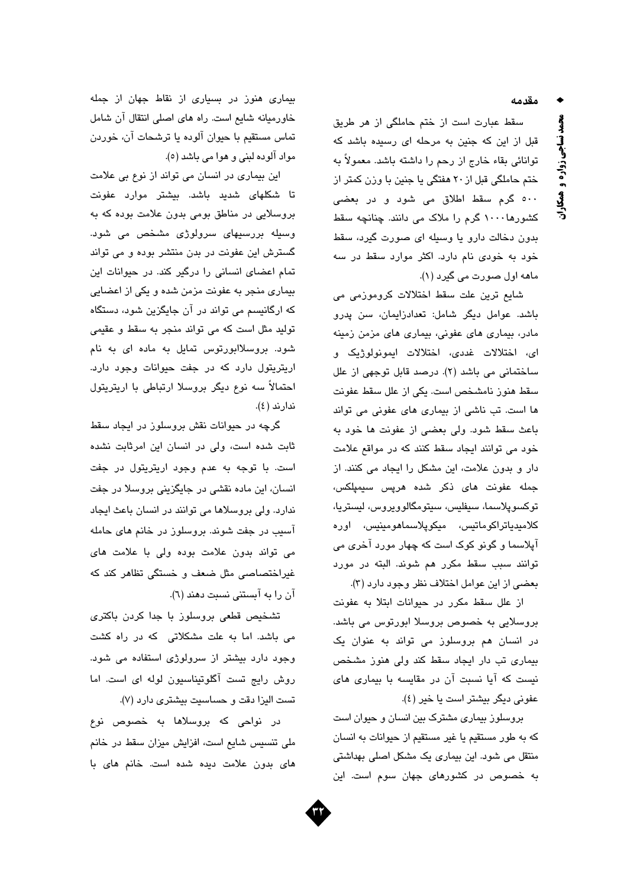مقدمه

سقط عبارت است از ختم حاملگی از هر طریق قبل از این که جنین به مرحله ای رسیده باشد که توانائی بقاء خارج از رحم را داشته باشد. معمولاً به ختم حاملگی قبل از ۲۰ هفتگی یا جنین با وزن کمتر از ٥٠٠ گرم سقط اطلاق می شود و در بعضی کشورها ۱۰۰۰ گرم را ملاک می دانند. چنانچه سقط بدون دخالت دارو یا وسیله ای صورت گیرد، سقط خود به خودی نام دارد. اکثر موارد سقط در سه ماهه اول صورت می گیرد (۱).

شايع ترين علت سقط اختلالات كروموزمى مى باشد. عوامل دیگر شامل: تعدادزایمان، سن پدرو مادر، بیماری های عفونی، بیماری های مزمن زمینه ای، اختلالات غددی، اختلالات ایمونولوژیک و ساختمانی می باشد (٢). درصد قابل توجهی از علل سقط هنوز نامشخص است. یکی از علل سقط عفونت ها است. تب ناشی از بیماری های عفونی می تواند باعث سقط شود. ولي بعضى از عفونت ها خود به خود می توانند ایجاد سقط کنند که در مواقع علامت دار و بدون علامت، این مشکل را ایجاد می کنند. از جمله عفونت های ذکر شده هرپس سیمپلکس، توكسوپلاسما، سىڧليس، سيتومگالوويروس، ليستريا، كلامىدياتراكوماتيس، مىكوپلاسماھومىنيس، اورە آپلاسما و گونو کوک است که چهار مورد آخری می توانند سبب سقط مكرر هم شوند. البته در مورد بعضي از اين عوامل اختلاف نظر وجود دارد (٣).

از علل سقط مكرر در حيوانات ابتلا به عفونت بروسلایی به خصوص بروسلا ابورتوس می باشد. در انسان هم بروسلوز می تواند به عنوان یک بیماری تب دار ایجاد سقط کند ولی هنوز مشخص نیست که آیا نسبت آن در مقایسه با بیماری های عفوني ديگر بيشتر است يا خير (٤).

بروسلوز بیماری مشترک بین انسان و حیوان است كه به طور مستقيم يا غير مستقيم از حيوانات به انسان منتقل می شود. این بیماری یک مشکل اصلی بهداشتی به خصوص در کشورهای جهان سوم است. این

بیماری هنوز در بسیاری از نقاط جهان از جمله خاورمیانه شایع است. راه های اصلی انتقال آن شامل تماس مستقيم با حيوان آلوده يا ترشحات آن، خوردن مواد آلوده لبنی و هوا می باشد (٥).

این بیماری در انسان می تواند از نوع بی علامت تا شکلهای شدید باشد. بیشتر موارد عفونت بروسلایی در مناطق بومی بدون علامت بوده که به وسیله بررسیهای سرولوژی مشخص می شود. گسترش این عفونت در بدن منتشر بوده و می تواند تمام اعضای انسانی را درگیر کند. در حیوانات این بیماری منجر به عفونت مزمن شده و یکی از اعضایی که ارگانیسم می تواند در آن جایگزین شود، دستگاه تولید مثل است که می تواند منجر به سقط و عقیمی شود. بروسلاابورتوس تمایل به ماده ای به نام اریتریتول دارد که در جفت حیوانات وجود دارد. احتمالاً سه نوع دیگر بروسلا ارتباطی با اریتریتول ندارند (٤).

گرچه در حیوانات نقش بروسلوز در ایجاد سقط ثابت شده است، ولی در انسان این امرثابت نشده است. با توجه به عدم وجود اریتریتول در جفت انسان، این ماده نقشی در جایگزینی بروسلا در جفت ندارد. ولي بروسلاها مي توانند در انسان باعث ايجاد آسیب در جفت شوند. بروسلوز در خانم های حامله می تواند بدون علامت بوده ولی با علامت های غیراختصاصی مثل ضعف و خستگی تظاهر کند که آن را به آبستنی نسبت دهند (٦).

تشخیص قطعی بروسلوز با جدا کردن باکتری می باشد. اما به علت مشکلاتی که در راه کشت وجود دارد بیشتر از سرولوژی استفاده می شود. روش رايج تست آگلوتيناسيون لوله ای است. اما تست اليزا دقت و حساسيت بيشترى دارد (٧).

در نواحی که بروسلاها به خصوص نوع ملی تنسیس شایع است، افزایش میزان سقط در خانم های بدون علامت دیده شده است. خانم های با



محمد نساجي زواره و همکاران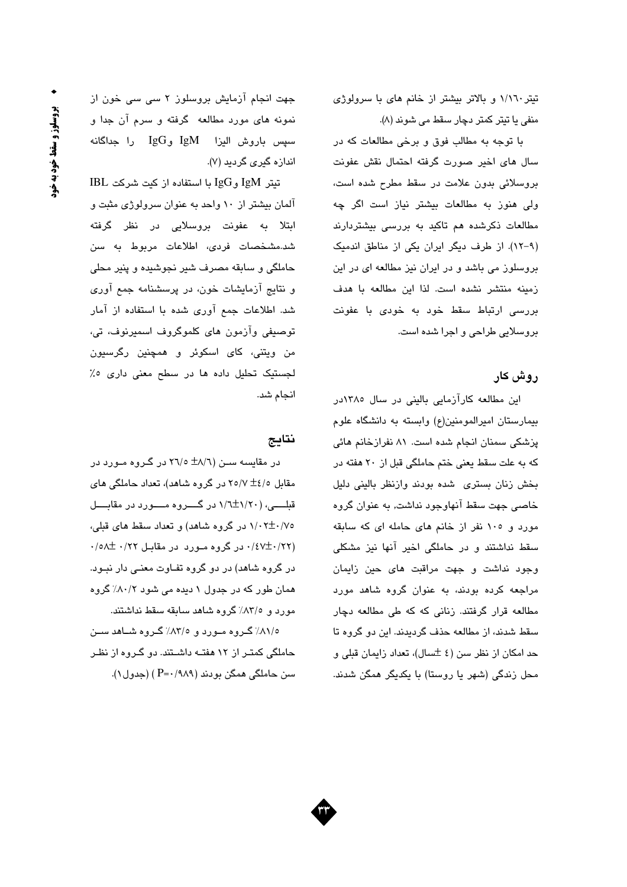تیتر ۱/۱٦۰ و بالاتر بیشتر از خانم های با سرولوژی منفی یا تیتر کمتر دچار سقط می شوند (۸).

با توجه به مطالب فوق و برخی مطالعات که در سال های اخیر صورت گرفته احتمال نقش عفونت بروسلائی بدون علامت در سقط مطرح شده است، ولی هنوز به مطالعات بیشتر نیاز است اگر چه مطالعات ذکرشده هم تاکید به بررسی بیشتردارند (٩-١٢). از طرف دیگر ایران یکی از مناطق اندمیک بروسلوز می باشد و در ایران نیز مطالعه ای در این زمينه منتشر نشده است. لذا اين مطالعه با هدف بررسی ارتباط سقط خود به خودی با عفونت بروسلايي طراحي و اجرا شده است.

# روش کار

این مطالعه کارآزمایی بالینی در سال ۱۳۸۰در بیمارستان امیرالمومنین(ع) وابسته به دانشگاه علوم پزشکی سمنان انجام شده است. ۸۱ نفرازخانم هائی که به علت سقط یعنی ختم حاملگی قبل از ۲۰ هفته در بخش زنان بسترى شده بودند وازنظر بالينى دليل خاصی جهت سقط آنهاوجود نداشت, به عنوان گروه مورد و ١٠٥ نفر از خانم هاى حامله اى كه سابقه سقط نداشتند و در حاملگی اخیر آنها نیز مشکلی وجود نداشت و جهت مراقبت های حین زایمان مراجعه کرده بودند، به عنوان گروه شاهد مورد مطالعه قرار گرفتند. زنانی که که طی مطالعه دچار سقط شدنه، از مطالعه حذف گردیدند. این دو گروه تا حد امکان از نظر سن (٤ ±سال)، تعداد زايمان قبلي و محل زندگی (شهر یا روستا) یا یکدیگر همگن شدند.

جهت انجام آزمایش بروسلوز ٢ سی سی خون از نمونه های مورد مطالعه گرفته و سرم آن جدا و سپس باروش اليزا IgM وIgG را جداگانه اندازه گیری گردید (۷).

 $IBL$  تيتر IgM و $I$ gG با استفاده از كيت شركت آلمان بیشتر از ۱۰ واحد به عنوان سرولوژی مثبت و ابتلا به عفونت بروسلایی در نظر گرفته شد.مشخصات فردی، اطلاعات مربوط به سن حاملگی و سابقه مصرف شیر نجوشیده و پنیر محلی و نتایج آزمایشات خون، در پرسشنامه جمع آوری شد. اطلاعات جمع آوری شده با استفاده از آمار توصيفي وآزمون هاي كلموگروف اسميرنوف، تي، من ویتنی، کای اسکوئر و همچنین رگرسیون لجستیک تحلیل داده ها در سطح معنی داری ٥٪ انجام شد.

### نتايج

در مقایسه ســن (۱/۸± ۲۱/۰ در گــروه مــورد در مقابل ۲۵/۷ ±٤/۰ در گروه شاهد)، تعداد حاملگی های قبله (۱/۲۰+۱/۲ در گسروه مسورد در مقابسل ۰/۰۲±۰/۷۵ در گروه شاهد) و تعداد سقط های قبلی، ۰/٤٧±۰/٢٢) در گروه مورد در مقابل ۰/٢٢ +۰/٥٨ در گروه شاهد) در دو گروه تفاوت معنی دار نبود. همان طور که در جدول ۱ دیده می شود ۸۰/۲٪ گروه مورد و ٨٣/٥٪ گروه شاهد سابقه سقط نداشتند.

٨١/٥٪ گروه مورد و ٨٣/٥٪ گروه شاهد سن حاملگی کمتـر از ۱۲ هفتـه داشــتند. دو گــروه از نظـر سن حاملگی همگن بودند (۹۸۹/۰=P) (جدول ۱).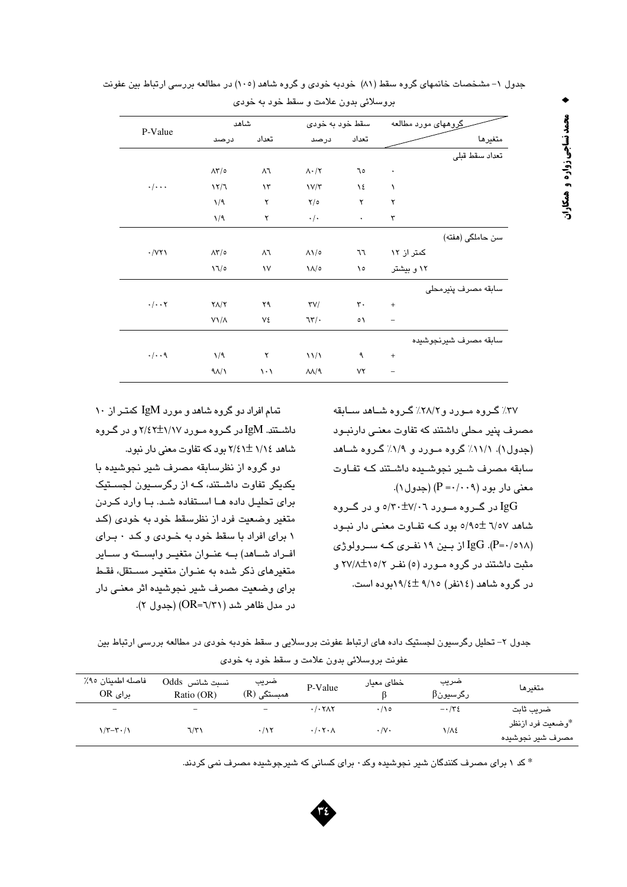| شاهد<br>سقط خود به خودی                                                                                                 |                       |  |
|-------------------------------------------------------------------------------------------------------------------------|-----------------------|--|
|                                                                                                                         | گِروههای مورد مطالعه  |  |
| P-Value<br>تعداد<br>تعداد<br>درصد<br>درصد                                                                               | متغيرها               |  |
|                                                                                                                         | تعداد سقط قبلى        |  |
| $\Lambda \Upsilon / \circ$<br>$\Lambda \cdot / \Upsilon$<br>$\wedge$<br>٦٥<br>$\bullet$                                 |                       |  |
| $\cdot/\cdot\cdot$<br>17/7<br>$\lambda \tau$<br>V/T<br>١٤<br>١                                                          |                       |  |
| $\mathbf{Y}/\mathbf{0}$<br>1/9<br>۲<br>۲<br>۲                                                                           |                       |  |
| 1/9<br>۲<br>$\cdot/\cdot$<br>٣<br>$\bullet$                                                                             |                       |  |
|                                                                                                                         | سن حاملگی (هفته)      |  |
| $\cdot$ / $\vee\tau\wedge$<br>$\Lambda \Upsilon / \circ$<br>$\wedge$<br>٦٦<br>$\Lambda\Lambda/\circ$                    | کمتر از ۱۲            |  |
| 17/0<br>$\mathcal{N}$<br>$\lambda/\circ$<br>۱٥                                                                          | ۱۲ و بیشتر            |  |
|                                                                                                                         | سابقه مصرف پنیرمحلی   |  |
| $\cdot/\cdot\cdot$ $\mathsf{Y}$<br>$Y\Lambda/Y$<br>۲۹<br>$\mathsf{r}\mathsf{v}/$<br>$\mathbf{r}$ .<br>$\qquad \qquad +$ |                       |  |
| $V\setminus/\Lambda$<br>٧٤<br>75<br>$\circ \wedge$<br>$\qquad \qquad -$                                                 |                       |  |
|                                                                                                                         | سابقه مصرف شيرنجوشيده |  |
| $\cdot/\cdot\cdot$ ٩<br>1/9<br>$\frac{1}{2}$<br>۲<br>٩<br>$\qquad \qquad +$                                             |                       |  |
| $9\lambda/3$<br>$\lambda\lambda/9$<br>۷۲<br>$\backslash \cdot \backslash$                                               |                       |  |

جدول ۱- مشخصات خانمهای گروه سقط (۸۱) خودبه خودی و گروه شاهد (۱۰۰) در مطالعه بررسی ارتباط بین عفونت

پروسلائي بدون علامت و سقط خود په خودې

٣٧٪ گروه مورد و ٢٨/٢٪ گروه شياهد سيانقه مصرف پنیر محلی داشتند که تفاوت معنی دارنبود (جدول۱). ۱۱/۱٪ گروه مورد و ۱/۹٪ گروه شاهد سابقه مصرف شير نجوشيده داشتند كـه تفـاوت  $(P = \cdot / \cdot 9)$  معنی دار بود (۹ $P = \cdot / \cdot 9$ ). IgG در گروه مورد ۷/۰۱-۷۴۰م و در گروه شاهد ٦/٥٧ ±٥/٩٥ بود كـه تفـاوت معنى دار نبـود IgG .(P=٠/٥١٨) از بين ١٩ نفري كـه سـرولوژي مثبت داشتند در گروه مورد (٥) نفـر ١٥/٢+/٢٧/٨ در گروه شاهد (١٤نفر) ٩/١٥ ±١٩/٤بوده است.

تمام افراد دو گروه شاهد و مورد IgM کمتر از ۱۰ داشـتتد. IgM در گـروه مـورد ۱/۱۷±۲/٤۲ و در گـروه شاهد ١/١٤ + ٢/٤١ مورد كه تفاوت معنى دار نبور.

دو گروه از نظرسابقه مصرف شیر نجوشیده با یکدیگر تفاوت داشتند، کـه از رگرسـیون لجسـتیک برای تحلیل داده هــا اسـتفاده شــد. بــا وارد کــردن متغیر وضعیت فرد از نظرسقط خود به خودی (کد ۱ برای افراد با سقط خود به خــودی و کــد ٠ بــرای افراد شاهد) به عنوان متغير وابسته و ساير متغیرهای ذکر شده به عنبوان متغییر مسیتقل، فقط برای وضعیت مصرف شیر نجوشیده اثر معنے دار  $(CR = 7/7)$  (OR=7) (حدول ۲).

جدول ۲– تحلیل رگرسیون لجستیک داده های ارتباط عفونت بروسلایی و سقط خودبه خودی در مطالعه بررسی ارتباط بین عفونت بروسلائي بدون علامت و سقط خود به خودي

| فاصله اطمينان ٩٥٪<br>$OR_{y}$ برای | نسبت شانس Odds<br>Ratio (OR) | ضريب<br>همبستگی (R) | P-Value                                  | خطای معیار        | ضريب<br>رگرسیونβ          | متغيرها                              |
|------------------------------------|------------------------------|---------------------|------------------------------------------|-------------------|---------------------------|--------------------------------------|
| $\overline{\phantom{a}}$           | $\overline{\phantom{m}}$     | -                   | $\cdot$ / $\cdot$ $\tau$ $\wedge$ $\tau$ | ه ۱/۰             | $- \cdot / \tau \epsilon$ | ضريب ثابت                            |
| $\gamma/\tau-\tau$ ./ $\gamma$     | ۱/۳۱                         | $\cdot$ /17         | $\cdot/\cdot \tau \cdot \Lambda$         | $\cdot/\vee\cdot$ | ۱/Λ٤                      | *وضعيت فرد ازنظر<br>مصرف شير نجوشيده |

\* کد ۱ برای مصرف کنندگان شیر نجوشیده وکد ۰ برای کسانی که شیرجوشیده مصرف نمی کردند.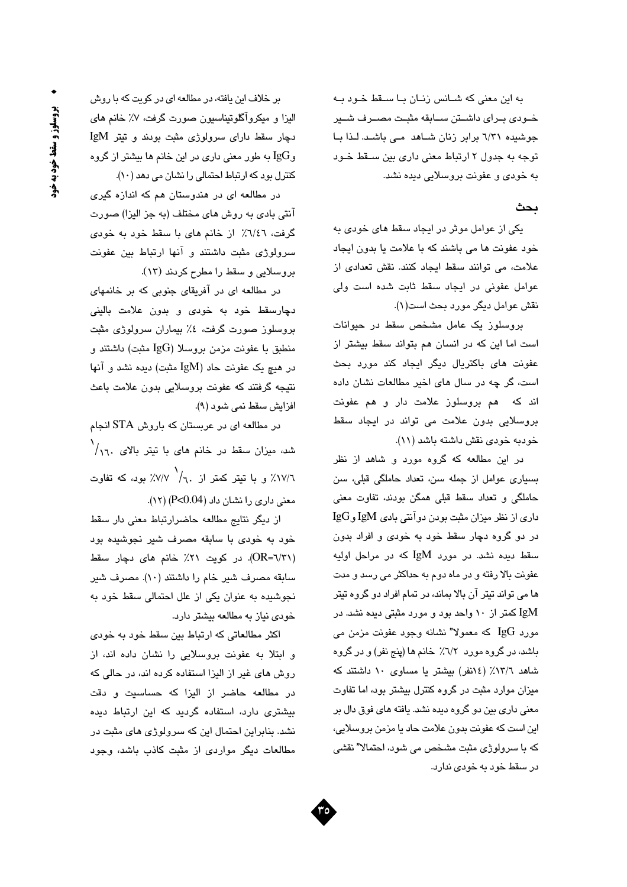به این معنی که شـانس زنـان بـا سـقط خـود بـه خودي براي داشتن سابقه مثبت مصرف شير جوشیدہ ٦/٣١ برابر زنان شاهد مے باشد. لـذا بـا توجه به جدول ۲ ارتباط معنی داری بین سـقط خـود به خودي و عفونت بروسلايي ديده نشد.

### ىحث

یکی از عوامل موثر در ایجاد سقط های خودی به خود عفونت ها می باشند که با علامت یا بدون ایجاد علامت، می توانند سقط ایجاد کنند. نقش تعدادی از عوامل عفونی در ایجاد سقط ثابت شده است ولی نقش عوامل ديگر مورد بحث است(١).

بروسلوز یک عامل مشخص سقط در حیوانات است اما این که در انسان هم بتواند سقط بیشتر از عفونت های باکتریال دیگر ایجاد کند مورد بحث است، گر چه در سال های اخیر مطالعات نشان داده اند که هم بروسلوز علامت دار و هم عفونت بروسلایی بدون علامت می تواند در ایجاد سقط خودبه خودي نقش داشته باشد (١١).

در این مطالعه که گروه مورد و شاهد از نظر بسیاری عوامل از جمله سن، تعداد حاملگی قبلی، سن حاملگی و تعداد سقط قبلی همگن بودند، تفاوت معنی داري از نظر ميزان مثبت بودن دوآنتي بادي IgM وIgG در دو گروه دچار سقط خود به خودی و افراد بدون سقط دیده نشد. در مورد IgM که در مراحل اولیه عفونت بالا رفته و در ماه دوم به حداکثر می رسد و مدت ها می تواند تیتر آن بالا بماند، در تمام افراد دو گروه تیتر IgM کمتر از ۱۰ واحد بود و مورد مثبتی دیده نشد. در مورد  $\rm{IgG}$  که معمولا" نشانه وجود عفونت مزمن می باشد، در گروه مورد ٦/٢٪ خانم ها (پنج نفر) و در گروه شاهد ١٣/٦٪ (١٤ذق) بيشتر يا مساوى ١٠ داشتند كه میزان موارد مثبت در گروه کنترل بیشتر بود، اما تفاوت معنی داری بین دو گروه دیده نشد. یافته های فوق دال بر این است که عفونت بدون علامت حاد یا مزمن بروسلایی، که با سرولوژی مثبت مشخص می شود، احتمالا" نقشی در سقط خود به خودی ندارد.

بر خلاف این یافته، در مطالعه ای در کویت که با روش الیزا و میکروآگلوتیناسیون صورت گرفت، ۷٪ خانم های دچار سقط دارای سرولوژی مثبت بودند و تیتر IgM و $\log$  به طور معنی داری در این خانم ها بیشتر از گروه کنترل بود که ارتباط احتمالی را نشان می دهد (١٠).

در مطالعه ای در هندوستان هم که اندازه گیری آنتی بادی به روش های مختلف (به جز الیزا) صورت گرفت، ٦/٤٦٪ از خانم های با سقط خود به خودی سرولوژی مثبت داشتند و آنها ارتباط بین عفونت بروسلايي و سقط را مطرح كردند (١٣).

در مطالعه ای در آفریقای جنوبی که بر خانمهای دچارسقط خود به خودی و بدون علامت بالینی بروسلوز صورت گرفت، ٤٪ بیماران سرولوژی مثبت منطبق با عفونت مزمن بروسلا (IgG مثبت) داشتند و در هيچ يک عفونت حاد (IgM مثبت) ديده نشد و آنها نتيجه گرفتند كه عفونت بروسلايي بدون علامت باعث افزايش سقط نمي شود (٩).

در مطالعه ای در عربستان که باروش STA انجام شد، میزان سقط در خانم های با تیتر بالای ۲٫۱٫<sup>۱</sup> د) ۱۷/۲٪ و با تبیتر کمتر از ۲٫۱/<sup>۱</sup> /۷/۷٪ بود، که تفاوت معنی داری را نشان داد (P<0.04) (١٢).

از دیگر نتایج مطالعه حاضرارتباط معنی دار سقط خود به خودی با سابقه مصرف شیر نجوشیده بود (OR=٦/٣١). در کویت ٢١٪ خانم های دچار سقط سابقه مصرف شیر خام را داشتند (١٠). مصرف شیر نجوشیده به عنوان یکی از علل احتمالی سقط خود به خودی نیاز به مطالعه بیشتر دارد.

اکثر مطالعاتی که ارتباط بین سقط خود به خودی و ابتلا به عفونت بروسلایی را نشان داده اند، از روش های غیر از الیزا استفاده کرده اند، در حالی که در مطالعه حاضر از الیزا که حساسیت و دقت بیشتری دارد، استفاده گردید که این ارتباط دیده نشد. بنابراین احتمال این که سرولوژی های مثبت در مطالعات دیگر مواردی از مثبت کاذب باشد، وجود

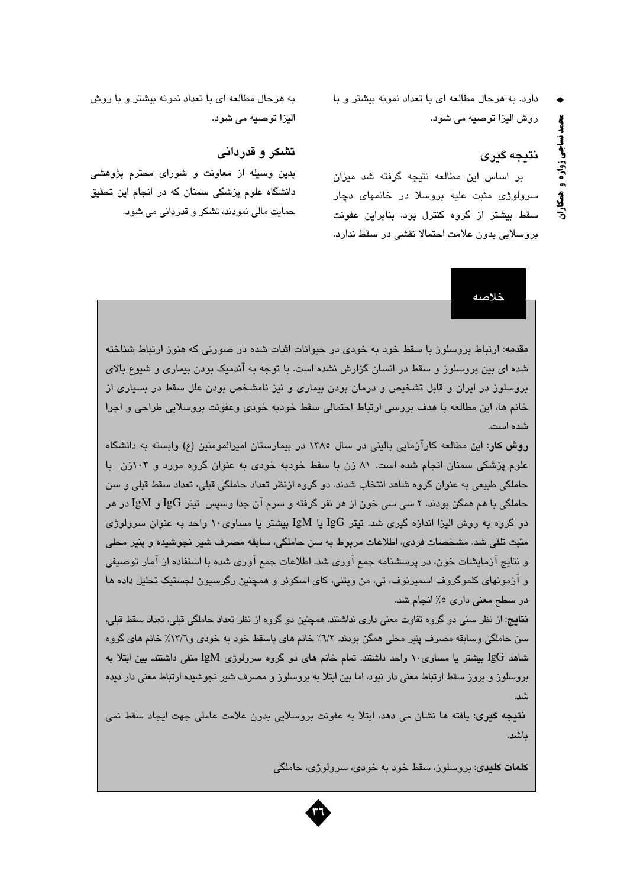دارد. به هرحال مطالعه ای با تعداد نمونه بیشتر و با روش اليزا توصيه مي شود.

# نتىجە گىرى

بر اساس این مطالعه نتیجه گرفته شد میزان سرولوژی مثبت علیه بروسلا در خانمهای دچار سقط بیشتر از گروه کنترل بود. بنابراین عفونت بروسلايي بدون علامت احتمالا نقشى در سقط ندارد.

به هرحال مطالعه ای با تعداد نمونه بیشتر و با روش اليزا توصيه مي شود.

## تشکر و قدردانی

بدین وسیله از معاونت و شورای محترم پژوهشی دانشگاه علوم پزشکی سمنان که در انجام این تحقیق حمايت مالي نمودند، تشکر و قدرداني مي شود.

خلاصه

مقدمه: ارتباط بروسلوز با سقط خود به خودی در حیوانات اثبات شده در صورتی که هنوز ارتباط شناخته شده ای بین بروسلوز و سقط در انسان گزارش نشده است. با توجه به اندمیک بودن بیماری و شیوع بالای بروسلوز در ایران و قابل تشخیص و درمان بودن بیماری و نیز نامشخص بودن علل سقط در بسیاری از خانم ها، اين مطالعه با هدف بررسي ارتباط احتمالي سقط خودبه خودي وعفونت بروسلايي طراحي و اجرا شده است.

روش کار: این مطالعه کارآزمایی بالینی در سال ۱۳۸۰ در بیمارستان امیرالمومنین (ع) وابسته به دانشگاه علوم پزشکی سمنان انجام شده است. ۸۱ زن با سقط خودبه خودی به عنوان گروه مورد و ۱۰۳زن با حاملگی طبیعی به عنوان گروه شاهد انتخاب شدند. دو گروه ازنظر تعداد حاملگی قبلی، تعداد سقط قبلی و سن حاملگی با هم همگن بودند. ۲ سی سی خون از هر نفر گرفته و سرم آن جدا وسپس تیتر IgG و IgM در هر دو گروه به روش الیزا اندازه گیری شد. تیتر IgG یا IgM بیشتر یا مساوی۱۰ واحد به عنوان سرولوژی مثبت تلقی شد. مشخصات فردی، اطلاعات مربوط به سن حاملگی، سابقه مصرف شیر نجوشیده و پنیر محلی و نتایج آزمایشات خون، در پرسشنامه جمع آوری شد. اطلاعات جمع آوری شده با استفاده از آمار توصیفی و آزمونهای کلموگروف اسمپرنوف، تی، من ویتنی، کای اسکوئر و همچنین رگرسیون لجستیک تحلیل داده ها در سطح معنی داری ۵٪ انجام شد.

<mark>نتایج</mark>: از نظر سنی دو گروه تفاوت معنی داری نداشتند. همچنین دو گروه از نظر تعداد حاملگی قبلی، تعداد سقط قبلی، سن حاملگی وسابقه مصرف پنیر محلی همگن بودند. ٦/٢٪ خانم های باسقط خود به خودی و١٣/٦٪ خانم های گروه شاهد IgG بیشتر یا مساوی۱۰ واحد داشتند. تمام خانم های دو گروه سرولوژی IgM منفی داشتند. بین ابتلا به بروسلوز و بروز سقط ارتباط معنی دار نبود، اما بین ابتلا به بروسلوز و مصرف شیر نجوشیده ارتباط معنی دار دیده شب.

**نتيجه گير**ي: يافته ها نشان مي دهد، ابتلا به عفونت بروسلايي بدون علامت عاملي جهت ايجاد سقط نمي ىاشد.

<mark>کلمات کلىد</mark>ى: بروسلون، سقط خود به خودى، سرولوژى، حاملگ*ى*